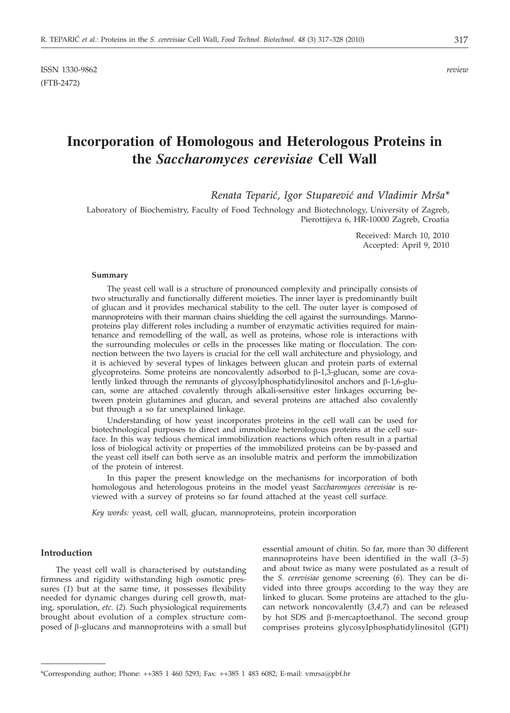# **Incorporation of Homologous and Heterologous Proteins in the** *Saccharomyces cerevisiae* **Cell Wall**

*Renata Tepari}, Igor Stuparevi} and Vladimir Mr{a\**

Laboratory of Biochemistry, Faculty of Food Technology and Biotechnology, University of Zagreb, Pierottijeva 6, HR-10000 Zagreb, Croatia

> Received: March 10, 2010 Accepted: April 9, 2010

#### **Summary**

The yeast cell wall is a structure of pronounced complexity and principally consists of two structurally and functionally different moieties. The inner layer is predominantly built of glucan and it provides mechanical stability to the cell. The outer layer is composed of mannoproteins with their mannan chains shielding the cell against the surroundings. Mannoproteins play different roles including a number of enzymatic activities required for maintenance and remodelling of the wall, as well as proteins, whose role is interactions with the surrounding molecules or cells in the processes like mating or flocculation. The connection between the two layers is crucial for the cell wall architecture and physiology, and it is achieved by several types of linkages between glucan and protein parts of external glycoproteins. Some proteins are noncovalently adsorbed to  $\beta$ -1,3-glucan, some are covalently linked through the remnants of glycosylphosphatidylinositol anchors and  $\beta$ -1,6-glucan, some are attached covalently through alkali-sensitive ester linkages occurring between protein glutamines and glucan, and several proteins are attached also covalently but through a so far unexplained linkage.

Understanding of how yeast incorporates proteins in the cell wall can be used for biotechnological purposes to direct and immobilize heterologous proteins at the cell surface. In this way tedious chemical immobilization reactions which often result in a partial loss of biological activity or properties of the immobilized proteins can be by-passed and the yeast cell itself can both serve as an insoluble matrix and perform the immobilization of the protein of interest.

In this paper the present knowledge on the mechanisms for incorporation of both homologous and heterologous proteins in the model yeast *Saccharomyces cerevisiae* is reviewed with a survey of proteins so far found attached at the yeast cell surface.

*Key words:* yeast, cell wall, glucan, mannoproteins, protein incorporation

# **Introduction**

The yeast cell wall is characterised by outstanding firmness and rigidity withstanding high osmotic pressures (1) but at the same time, it possesses flexibility needed for dynamic changes during cell growth, mating, sporulation, *etc.* (*2*). Such physiological requirements brought about evolution of a complex structure composed of  $\beta$ -glucans and mannoproteins with a small but essential amount of chitin. So far, more than 30 different mannoproteins have been identified in the wall (*3–5*) and about twice as many were postulated as a result of the *S. cerevisiae* genome screening (*6*). They can be divided into three groups according to the way they are linked to glucan. Some proteins are attached to the glucan network noncovalently (*3,4,7*) and can be released by hot SDS and  $\beta$ -mercaptoethanol. The second group comprises proteins glycosylphosphatidylinositol (GPI)

<sup>\*</sup>Corresponding author; Phone: ++385 1 460 5293; Fax: ++385 1 483 6082; E-mail: vmrsa@pbf.hr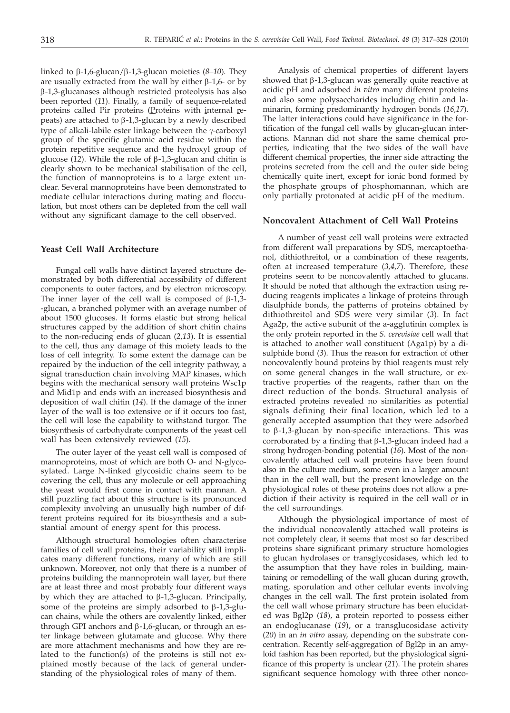linked to b-1,6-glucan/b-1,3-glucan moieties (*8–10*). They are usually extracted from the wall by either  $\beta$ -1,6- or by b-1,3-glucanases although restricted proteolysis has also been reported (*11*). Finally, a family of sequence-related proteins called Pir proteins (Proteins with internal repeats) are attached to  $\beta$ -1,3-glucan by a newly described type of alkali-labile ester linkage between the  $\gamma$ -carboxyl group of the specific glutamic acid residue within the protein repetitive sequence and the hydroxyl group of glucose  $(12)$ . While the role of  $\beta$ -1,3-glucan and chitin is clearly shown to be mechanical stabilisation of the cell, the function of mannoproteins is to a large extent unclear. Several mannoproteins have been demonstrated to mediate cellular interactions during mating and flocculation, but most others can be depleted from the cell wall without any significant damage to the cell observed.

## **Yeast Cell Wall Architecture**

Fungal cell walls have distinct layered structure demonstrated by both differential accessibility of different components to outer factors, and by electron microscopy. The inner layer of the cell wall is composed of  $\beta$ -1,3--glucan, a branched polymer with an average number of about 1500 glucoses. It forms elastic but strong helical structures capped by the addition of short chitin chains to the non-reducing ends of glucan (*2,13*). It is essential to the cell, thus any damage of this moiety leads to the loss of cell integrity. To some extent the damage can be repaired by the induction of the cell integrity pathway, a signal transduction chain involving MAP kinases, which begins with the mechanical sensory wall proteins Wsc1p and Mid1p and ends with an increased biosynthesis and deposition of wall chitin (*14*). If the damage of the inner layer of the wall is too extensive or if it occurs too fast, the cell will lose the capability to withstand turgor. The biosynthesis of carbohydrate components of the yeast cell wall has been extensively reviewed (*15*).

The outer layer of the yeast cell wall is composed of mannoproteins, most of which are both O- and N-glycosylated. Large N-linked glycosidic chains seem to be covering the cell, thus any molecule or cell approaching the yeast would first come in contact with mannan. A still puzzling fact about this structure is its pronounced complexity involving an unusually high number of different proteins required for its biosynthesis and a substantial amount of energy spent for this process.

Although structural homologies often characterise families of cell wall proteins*,* their variability still implicates many different functions, many of which are still unknown. Moreover, not only that there is a number of proteins building the mannoprotein wall layer, but there are at least three and most probably four different ways by which they are attached to  $\beta$ -1,3-glucan. Principally, some of the proteins are simply adsorbed to  $\beta$ -1,3-glucan chains, while the others are covalently linked, either through GPI anchors and  $\beta$ -1,6-glucan, or through an ester linkage between glutamate and glucose. Why there are more attachment mechanisms and how they are related to the function(s) of the proteins is still not explained mostly because of the lack of general understanding of the physiological roles of many of them.

Analysis of chemical properties of different layers showed that  $\beta$ -1,3-glucan was generally quite reactive at acidic pH and adsorbed *in vitro* many different proteins and also some polysaccharides including chitin and laminarin, forming predominantly hydrogen bonds (*16,17*). The latter interactions could have significance in the fortification of the fungal cell walls by glucan-glucan interactions. Mannan did not share the same chemical properties, indicating that the two sides of the wall have different chemical properties, the inner side attracting the proteins secreted from the cell and the outer side being chemically quite inert, except for ionic bond formed by the phosphate groups of phosphomannan, which are only partially protonated at acidic pH of the medium.

### **Noncovalent Attachment of Cell Wall Proteins**

A number of yeast cell wall proteins were extracted from different wall preparations by SDS, mercaptoethanol, dithiothreitol, or a combination of these reagents, often at increased temperature (*3,4,7*). Therefore, these proteins seem to be noncovalently attached to glucans. It should be noted that although the extraction using reducing reagents implicates a linkage of proteins through disulphide bonds, the patterns of proteins obtained by dithiothreitol and SDS were very similar (*3*). In fact Aga2p, the active subunit of the a-agglutinin complex is the only protein reported in the *S. cerevisiae* cell wall that is attached to another wall constituent (Aga1p) by a disulphide bond (*3*). Thus the reason for extraction of other noncovalently bound proteins by thiol reagents must rely on some general changes in the wall structure, or extractive properties of the reagents, rather than on the direct reduction of the bonds. Structural analysis of extracted proteins revealed no similarities as potential signals defining their final location, which led to a generally accepted assumption that they were adsorbed to  $\beta$ -1,3-glucan by non-specific interactions. This was corroborated by a finding that  $\beta$ -1,3-glucan indeed had a strong hydrogen-bonding potential (*16*). Most of the noncovalently attached cell wall proteins have been found also in the culture medium, some even in a larger amount than in the cell wall, but the present knowledge on the physiological roles of these proteins does not allow a prediction if their activity is required in the cell wall or in the cell surroundings.

Although the physiological importance of most of the individual noncovalently attached wall proteins is not completely clear, it seems that most so far described proteins share significant primary structure homologies to glucan hydrolases or transglycosidases, which led to the assumption that they have roles in building, maintaining or remodelling of the wall glucan during growth, mating, sporulation and other cellular events involving changes in the cell wall. The first protein isolated from the cell wall whose primary structure has been elucidated was Bgl2p (*18*), a protein reported to possess either an endoglucanase (*19*), or a transglucosidase activity (*20*) in an *in vitro* assay, depending on the substrate concentration. Recently self-aggregation of Bgl2p in an amyloid fashion has been reported, but the physiological significance of this property is unclear (*21*). The protein shares significant sequence homology with three other nonco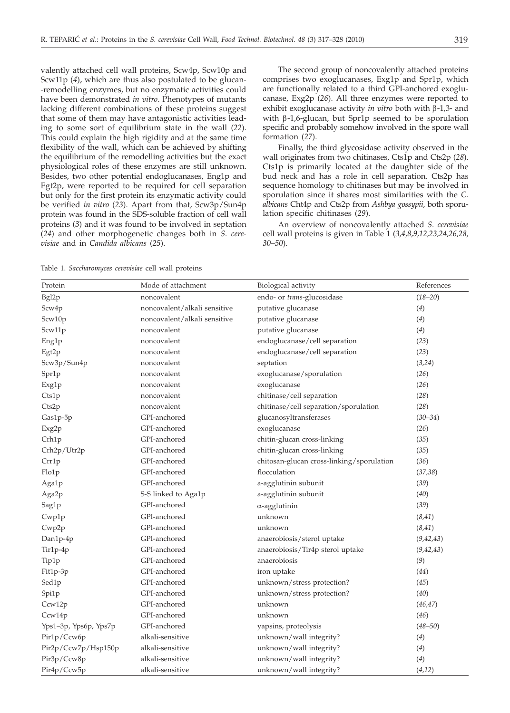valently attached cell wall proteins, Scw4p, Scw10p and Scw11p (*4*), which are thus also postulated to be glucan- -remodelling enzymes, but no enzymatic activities could have been demonstrated *in vitro*. Phenotypes of mutants lacking different combinations of these proteins suggest that some of them may have antagonistic activities leading to some sort of equilibrium state in the wall (*22*). This could explain the high rigidity and at the same time flexibility of the wall, which can be achieved by shifting the equilibrium of the remodelling activities but the exact physiological roles of these enzymes are still unknown. Besides, two other potential endoglucanases, Eng1p and Egt2p, were reported to be required for cell separation but only for the first protein its enzymatic activity could be verified *in vitro* (*23*). Apart from that, Scw3p/Sun4p protein was found in the SDS-soluble fraction of cell wall proteins (*3*) and it was found to be involved in septation (*24*) and other morphogenetic changes both in *S. cerevisiae* and in *Candida albicans* (*25*).

The second group of noncovalently attached proteins comprises two exoglucanases, Exg1p and Spr1p, which are functionally related to a third GPI-anchored exoglucanase, Exg2p (*26*). All three enzymes were reported to exhibit exoglucanase activity *in vitro* both with  $\beta$ -1,3- and with  $\beta$ -1,6-glucan, but Spr1p seemed to be sporulation specific and probably somehow involved in the spore wall formation (*27*).

Finally, the third glycosidase activity observed in the wall originates from two chitinases, Cts1p and Cts2p (*28*). Cts1p is primarily located at the daughter side of the bud neck and has a role in cell separation. Cts2p has sequence homology to chitinases but may be involved in sporulation since it shares most similarities with the *C. albicans* Cht4p and Cts2p from *Ashbya gossypii*, both sporulation specific chitinases (*29*).

An overview of noncovalently attached *S. cerevisiae* cell wall proteins is given in Table 1 (*3,4,8,9,12,23,24,26,28, 30–50*).

Table 1. *Saccharomyces cerevisiae* cell wall proteins

| Protein               | Mode of attachment           | Biological activity                       | References  |
|-----------------------|------------------------------|-------------------------------------------|-------------|
| Bgl2p                 | noncovalent                  | endo- or trans-glucosidase                | $(18 - 20)$ |
| Scw4p                 | noncovalent/alkali sensitive | putative glucanase                        | (4)         |
| Scw10p                | noncovalent/alkali sensitive | putative glucanase                        | (4)         |
| Scw11p                | noncovalent                  | putative glucanase                        | (4)         |
| Eng1p                 | noncovalent                  | endoglucanase/cell separation             | (23)        |
| Egt2p                 | noncovalent                  | endoglucanase/cell separation             | (23)        |
| Scw3p/Sun4p           | noncovalent                  | septation                                 | (3,24)      |
| Spr1p                 | noncovalent                  | exoglucanase/sporulation                  | (26)        |
| Exg1p                 | noncovalent                  | exoglucanase                              | (26)        |
| Cts1p                 | noncovalent                  | chitinase/cell separation                 | (28)        |
| Cts2p                 | noncovalent                  | chitinase/cell separation/sporulation     | (28)        |
| Gas1p-5p              | GPI-anchored                 | glucanosyltransferases                    | $(30 - 34)$ |
| Exg2p                 | GPI-anchored                 | exoglucanase                              | (26)        |
| Crh1p                 | GPI-anchored                 | chitin-glucan cross-linking               | (35)        |
| Crh2p/Utr2p           | GPI-anchored                 | chitin-glucan cross-linking               | (35)        |
| Crr1p                 | GPI-anchored                 | chitosan-glucan cross-linking/sporulation | (36)        |
| Flo1p                 | GPI-anchored                 | flocculation                              | (37, 38)    |
| Aga1p                 | GPI-anchored                 | a-agglutinin subunit                      | (39)        |
| Aga2p                 | S-S linked to Aga1p          | a-agglutinin subunit                      | (40)        |
| Sag1p                 | GPI-anchored                 | $\alpha$ -agglutinin                      | (39)        |
| Cwp1p                 | GPI-anchored                 | unknown                                   | (8, 41)     |
| Cwp2p                 | GPI-anchored                 | unknown                                   | (8, 41)     |
| Dan1p-4p              | GPI-anchored                 | anaerobiosis/sterol uptake                | (9, 42, 43) |
| Tir1p-4p              | GPI-anchored                 | anaerobiosis/Tir4p sterol uptake          | (9, 42, 43) |
| Tip1p                 | GPI-anchored                 | anaerobiosis                              | (9)         |
| Fit1p-3p              | GPI-anchored                 | iron uptake                               | (44)        |
| Sed1p                 | GPI-anchored                 | unknown/stress protection?                | (45)        |
| Spi1p                 | GPI-anchored                 | unknown/stress protection?                | (40)        |
| Ccw12p                | GPI-anchored                 | unknown                                   | (46, 47)    |
| Ccw14p                | GPI-anchored                 | unknown                                   | (46)        |
| Yps1-3p, Yps6p, Yps7p | GPI-anchored                 | yapsins, proteolysis                      | $(48 - 50)$ |
| Pir1p/Ccw6p           | alkali-sensitive             | unknown/wall integrity?                   | (4)         |
| Pir2p/Ccw7p/Hsp150p   | alkali-sensitive             | unknown/wall integrity?                   | (4)         |
| Pir3p/Ccw8p           | alkali-sensitive             | unknown/wall integrity?                   | (4)         |
| Pir4p/Ccw5p           | alkali-sensitive             | unknown/wall integrity?                   | (4,12)      |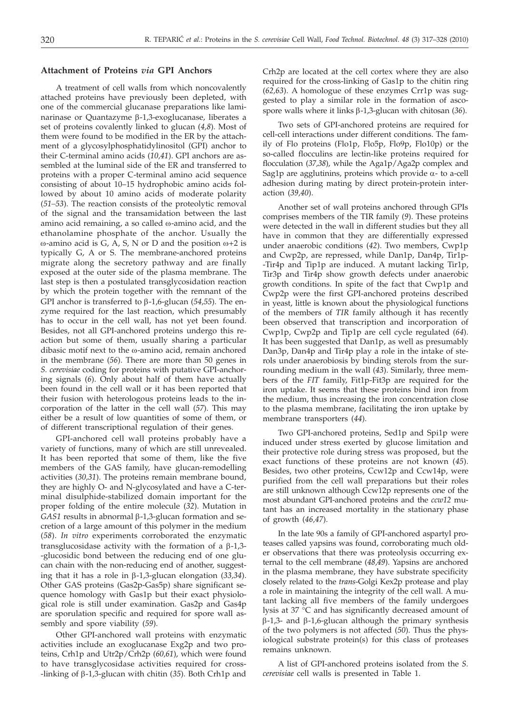## **Attachment of Proteins** *via* **GPI Anchors**

A treatment of cell walls from which noncovalently attached proteins have previously been depleted, with one of the commercial glucanase preparations like laminarinase or Quantazyme  $\beta$ -1,3-exoglucanase, liberates a set of proteins covalently linked to glucan (*4,8*). Most of them were found to be modified in the ER by the attachment of a glycosylphosphatidylinositol (GPI) anchor to their C-terminal amino acids (*10,41*). GPI anchors are assembled at the luminal side of the ER and transferred to proteins with a proper C-terminal amino acid sequence consisting of about 10–15 hydrophobic amino acids followed by about 10 amino acids of moderate polarity (*51–53*). The reaction consists of the proteolytic removal of the signal and the transamidation between the last amino acid remaining, a so called  $\omega$ -amino acid, and the ethanolamine phosphate of the anchor. Usually the  $\omega$ -amino acid is G, A, S, N or D and the position  $\omega$ +2 is typically G, A or S. The membrane-anchored proteins migrate along the secretory pathway and are finally exposed at the outer side of the plasma membrane. The last step is then a postulated transglycosidation reaction by which the protein together with the remnant of the GPI anchor is transferred to  $\beta$ -1,6-glucan (54,55). The enzyme required for the last reaction, which presumably has to occur in the cell wall, has not yet been found. Besides, not all GPI-anchored proteins undergo this reaction but some of them, usually sharing a particular dibasic motif next to the w-amino acid, remain anchored in the membrane (*56*). There are more than 50 genes in *S. cerevisiae* coding for proteins with putative GPI-anchoring signals (*6*). Only about half of them have actually been found in the cell wall or it has been reported that their fusion with heterologous proteins leads to the incorporation of the latter in the cell wall (*57*). This may either be a result of low quantities of some of them, or of different transcriptional regulation of their genes.

GPI-anchored cell wall proteins probably have a variety of functions, many of which are still unrevealed. It has been reported that some of them, like the five members of the GAS family, have glucan-remodelling activities (*30,31*). The proteins remain membrane bound, they are highly O- and N-glycosylated and have a C-terminal disulphide-stabilized domain important for the proper folding of the entire molecule (*32*). Mutation in  $GAS1$  results in abnormal  $\beta$ -1,3-glucan formation and secretion of a large amount of this polymer in the medium (*58*). *In vitro* experiments corroborated the enzymatic transglucosidase activity with the formation of a  $\beta$ -1,3--glucosidic bond between the reducing end of one glucan chain with the non-reducing end of another, suggesting that it has a role in b-1,3-glucan elongation (*33,34*). Other GAS proteins (Gas2p-Gas5p) share significant sequence homology with Gas1p but their exact physiological role is still under examination. Gas2p and Gas4p are sporulation specific and required for spore wall assembly and spore viability (*59*).

Other GPI-anchored wall proteins with enzymatic activities include an exoglucanase Exg2p and two proteins, Crh1p and Utr2p/Crh2p (*60,61*), which were found to have transglycosidase activities required for cross- -linking of b-1,3-glucan with chitin (*35*). Both Crh1p and

Crh2p are located at the cell cortex where they are also required for the cross-linking of Gas1p to the chitin ring (*62,63*). A homologue of these enzymes Crr1p was suggested to play a similar role in the formation of ascospore walls where it links β-1,3-glucan with chitosan (36).

Two sets of GPI-anchored proteins are required for cell-cell interactions under different conditions. The family of Flo proteins (Flo1p, Flo5p, Flo9p, Flo10p) or the so-called flocculins are lectin-like proteins required for flocculation (*37,38*), while the Aga1p/Aga2p complex and Sag1p are agglutinins, proteins which provide  $\alpha$ - to a-cell adhesion during mating by direct protein-protein interaction (*39,40*).

Another set of wall proteins anchored through GPIs comprises members of the TIR family (*9*). These proteins were detected in the wall in different studies but they all have in common that they are differentially expressed under anaerobic conditions (*42*). Two members, Cwp1p and Cwp2p, are repressed, while Dan1p, Dan4p, Tir1p- -Tir4p and Tip1p are induced. A mutant lacking Tir1p, Tir3p and Tir4p show growth defects under anaerobic growth conditions. In spite of the fact that Cwp1p and Cwp2p were the first GPI-anchored proteins described in yeast, little is known about the physiological functions of the members of *TIR* family although it has recently been observed that transcription and incorporation of Cwp1p, Cwp2p and Tip1p are cell cycle regulated (*64*). It has been suggested that Dan1p, as well as presumably Dan3p, Dan4p and Tir4p play a role in the intake of sterols under anaerobiosis by binding sterols from the surrounding medium in the wall (*43*). Similarly, three members of the *FIT* family, Fit1p-Fit3p are required for the iron uptake. It seems that these proteins bind iron from the medium, thus increasing the iron concentration close to the plasma membrane, facilitating the iron uptake by membrane transporters (*44*).

Two GPI-anchored proteins, Sed1p and Spi1p were induced under stress exerted by glucose limitation and their protective role during stress was proposed, but the exact functions of these proteins are not known (*45*). Besides, two other proteins, Ccw12p and Ccw14p, were purified from the cell wall preparations but their roles are still unknown although Ccw12p represents one of the most abundant GPI-anchored proteins and the *ccw12* mutant has an increased mortality in the stationary phase of growth (*46,47*).

In the late 90s a family of GPI-anchored aspartyl proteases called yapsins was found, corroborating much older observations that there was proteolysis occurring external to the cell membrane (*48,49*). Yapsins are anchored in the plasma membrane, they have substrate specificity closely related to the *trans*-Golgi Kex2p protease and play a role in maintaining the integrity of the cell wall. A mutant lacking all five members of the family undergoes lysis at 37 °C and has significantly decreased amount of  $\beta$ -1,3- and  $\beta$ -1,6-glucan although the primary synthesis of the two polymers is not affected (*50*). Thus the physiological substrate protein(s) for this class of proteases remains unknown.

A list of GPI-anchored proteins isolated from the *S. cerevisiae* cell walls is presented in Table 1.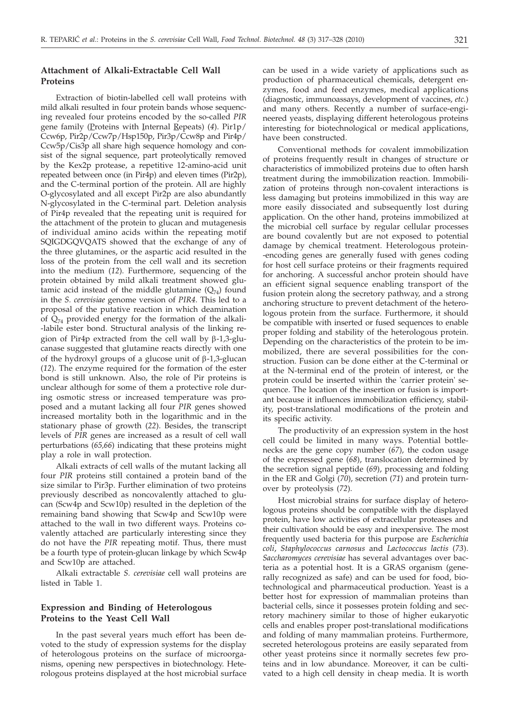# **Attachment of Alkali-Extractable Cell Wall Proteins**

Extraction of biotin-labelled cell wall proteins with mild alkali resulted in four protein bands whose sequencing revealed four proteins encoded by the so-called *PIR* gene family (Proteins with Internal Repeats) (*4*). Pir1p/ Ccw6p, Pir2p/Ccw7p/Hsp150p, Pir3p/Ccw8p and Pir4p/ Ccw5p/Cis3p all share high sequence homology and consist of the signal sequence, part proteolytically removed by the Kex2p protease, a repetitive 12-amino-acid unit repeated between once (in Pir4p) and eleven times (Pir2p), and the C-terminal portion of the protein. All are highly O-glycosylated and all except Pir2p are also abundantly N-glycosylated in the C-terminal part. Deletion analysis of Pir4p revealed that the repeating unit is required for the attachment of the protein to glucan and mutagenesis of individual amino acids within the repeating motif SQIGDGQVQATS showed that the exchange of any of the three glutamines, or the aspartic acid resulted in the loss of the protein from the cell wall and its secretion into the medium (*12*). Furthermore, sequencing of the protein obtained by mild alkali treatment showed glutamic acid instead of the middle glutamine  $(Q_{74})$  found in the *S. cerevisiae* genome version of *PIR4*. This led to a proposal of the putative reaction in which deamination of  $Q_{74}$  provided energy for the formation of the alkali--labile ester bond. Structural analysis of the linking region of Pir4p extracted from the cell wall by  $\beta$ -1,3-glucanase suggested that glutamine reacts directly with one of the hydroxyl groups of a glucose unit of  $\beta$ -1,3-glucan (*12*). The enzyme required for the formation of the ester bond is still unknown. Also, the role of Pir proteins is unclear although for some of them a protective role during osmotic stress or increased temperature was proposed and a mutant lacking all four *PIR* genes showed increased mortality both in the logarithmic and in the stationary phase of growth (*22*). Besides, the transcript levels of *PIR* genes are increased as a result of cell wall perturbations (*65,66*) indicating that these proteins might play a role in wall protection.

Alkali extracts of cell walls of the mutant lacking all four *PIR* proteins still contained a protein band of the size similar to Pir3p. Further elimination of two proteins previously described as noncovalently attached to glucan (Scw4p and Scw10p) resulted in the depletion of the remaining band showing that Scw4p and Scw10p were attached to the wall in two different ways. Proteins covalently attached are particularly interesting since they do not have the *PIR* repeating motif. Thus, there must be a fourth type of protein-glucan linkage by which Scw4p and Scw10p are attached.

Alkali extractable *S. cerevisiae* cell wall proteins are listed in Table 1.

# **Expression and Binding of Heterologous Proteins to the Yeast Cell Wall**

In the past several years much effort has been devoted to the study of expression systems for the display of heterologous proteins on the surface of microorganisms, opening new perspectives in biotechnology. Heterologous proteins displayed at the host microbial surface can be used in a wide variety of applications such as production of pharmaceutical chemicals, detergent enzymes, food and feed enzymes, medical applications (diagnostic, immunoassays, development of vaccines, *etc.*) and many others. Recently a number of surface-engineered yeasts, displaying different heterologous proteins interesting for biotechnological or medical applications, have been constructed.

Conventional methods for covalent immobilization of proteins frequently result in changes of structure or characteristics of immobilized proteins due to often harsh treatment during the immobilization reaction. Immobilization of proteins through non-covalent interactions is less damaging but proteins immobilized in this way are more easily dissociated and subsequently lost during application. On the other hand, proteins immobilized at the microbial cell surface by regular cellular processes are bound covalently but are not exposed to potential damage by chemical treatment. Heterologous protein- -encoding genes are generally fused with genes coding for host cell surface proteins or their fragments required for anchoring. A successful anchor protein should have an efficient signal sequence enabling transport of the fusion protein along the secretory pathway, and a strong anchoring structure to prevent detachment of the heterologous protein from the surface. Furthermore, it should be compatible with inserted or fused sequences to enable proper folding and stability of the heterologous protein. Depending on the characteristics of the protein to be immobilized, there are several possibilities for the construction. Fusion can be done either at the C-terminal or at the N-terminal end of the protein of interest, or the protein could be inserted within the 'carrier protein' sequence. The location of the insertion or fusion is important because it influences immobilization efficiency, stability, post-translational modifications of the protein and its specific activity.

The productivity of an expression system in the host cell could be limited in many ways. Potential bottlenecks are the gene copy number (*67*), the codon usage of the expressed gene (*68*), translocation determined by the secretion signal peptide (*69*), processing and folding in the ER and Golgi (*70*), secretion (*71*) and protein turnover by proteolysis (*72*).

Host microbial strains for surface display of heterologous proteins should be compatible with the displayed protein, have low activities of extracellular proteases and their cultivation should be easy and inexpensive. The most frequently used bacteria for this purpose are *Escherichia coli*, *Staphylococcus carnosus* and *Lactococcus lactis* (*73*). *Saccharomyces cerevisiae* has several advantages over bacteria as a potential host. It is a GRAS organism (generally recognized as safe) and can be used for food, biotechnological and pharmaceutical production. Yeast is a better host for expression of mammalian proteins than bacterial cells, since it possesses protein folding and secretory machinery similar to those of higher eukaryotic cells and enables proper post-translational modifications and folding of many mammalian proteins. Furthermore, secreted heterologous proteins are easily separated from other yeast proteins since it normally secretes few proteins and in low abundance. Moreover, it can be cultivated to a high cell density in cheap media. It is worth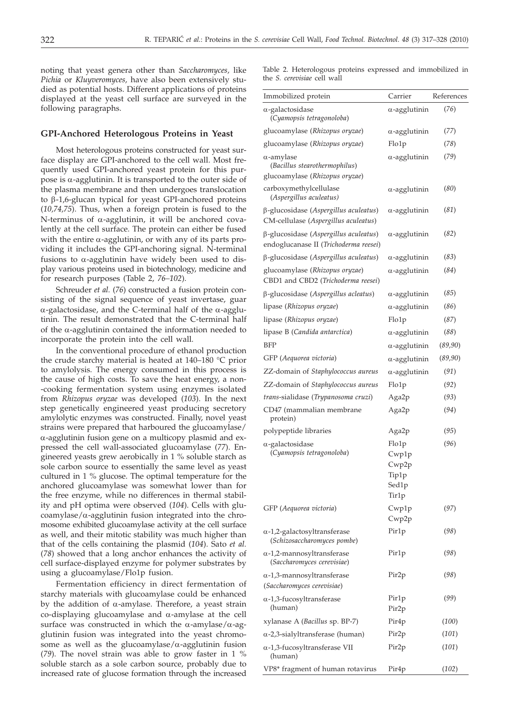noting that yeast genera other than *Saccharomyces,* like *Pichia* or *Kluyveromyces,* have also been extensively studied as potential hosts. Different applications of proteins displayed at the yeast cell surface are surveyed in the following paragraphs.

#### **GPI-Anchored Heterologous Proteins in Yeast**

Most heterologous proteins constructed for yeast surface display are GPI-anchored to the cell wall. Most frequently used GPI-anchored yeast protein for this purpose is  $\alpha$ -agglutinin. It is transported to the outer side of the plasma membrane and then undergoes translocation to  $\beta$ -1,6-glucan typical for yeast GPI-anchored proteins (*10,74,75*). Thus, when a foreign protein is fused to the N-terminus of  $\alpha$ -agglutinin, it will be anchored covalently at the cell surface. The protein can either be fused with the entire  $\alpha$ -agglutinin, or with any of its parts providing it includes the GPI-anchoring signal. N-terminal fusions to  $\alpha$ -agglutinin have widely been used to display various proteins used in biotechnology, medicine and for research purposes (Table 2, *76–102*).

Schreuder *et al.* (*76*) constructed a fusion protein consisting of the signal sequence of yeast invertase, guar  $\alpha$ -galactosidase, and the C-terminal half of the  $\alpha$ -agglutinin. The result demonstrated that the C-terminal half of the  $\alpha$ -agglutinin contained the information needed to incorporate the protein into the cell wall.

In the conventional procedure of ethanol production the crude starchy material is heated at 140–180 °C prior to amylolysis. The energy consumed in this process is the cause of high costs. To save the heat energy, a non- -cooking fermentation system using enzymes isolated from *Rhizopus oryzae* was developed (*103*). In the next step genetically engineered yeast producing secretory amylolytic enzymes was constructed. Finally, novel yeast strains were prepared that harboured the glucoamylase/  $\alpha$ -agglutinin fusion gene on a multicopy plasmid and expressed the cell wall-associated glucoamylase (*77*). Engineered yeasts grew aerobically in 1 % soluble starch as sole carbon source to essentially the same level as yeast cultured in 1 % glucose. The optimal temperature for the anchored glucoamylase was somewhat lower than for the free enzyme, while no differences in thermal stability and pH optima were observed (*104*). Cells with glu $coamylase/\alpha$ -agglutinin fusion integrated into the chromosome exhibited glucoamylase activity at the cell surface as well, and their mitotic stability was much higher than that of the cells containing the plasmid (*104*). Sato *et al.* (*78*) showed that a long anchor enhances the activity of cell surface-displayed enzyme for polymer substrates by using a glucoamylase/Flo1p fusion.

Fermentation efficiency in direct fermentation of starchy materials with glucoamylase could be enhanced by the addition of  $\alpha$ -amylase. Therefore, a yeast strain co-displaying glucoamylase and  $\alpha$ -amylase at the cell surface was constructed in which the  $\alpha$ -amylase/ $\alpha$ -agglutinin fusion was integrated into the yeast chromosome as well as the glucoamylase/ $\alpha$ -agglutinin fusion (*79*). The novel strain was able to grow faster in 1 % soluble starch as a sole carbon source, probably due to increased rate of glucose formation through the increased

Table 2. Heterologous proteins expressed and immobilized in the *S. cerevisiae* cell wall

| Immobilized protein                                                                  | Carrier                                            | References |
|--------------------------------------------------------------------------------------|----------------------------------------------------|------------|
| $\alpha$ -galactosidase<br>(Cyamopsis tetragonoloba)                                 | $\alpha$ -agglutinin                               | (76)       |
| glucoamylase (Rhizopus oryzae)                                                       | $\alpha$ -agglutinin                               | (77)       |
| glucoamylase (Rhizopus oryzae)                                                       | Flo1p                                              | (78)       |
| $\alpha$ -amylase<br>(Bacillus stearothermophilus)<br>glucoamylase (Rhizopus oryzae) | $\alpha$ -agglutinin                               | (79)       |
| carboxymethylcellulase<br>(Aspergillus aculeatus)                                    | $\alpha$ -agglutinin                               | (80)       |
| β-glucosidase (Aspergillus aculeatus)<br>CM-cellulase (Aspergillus aculeatus)        | $\alpha$ -agglutinin                               | (81)       |
| β-glucosidase (Aspergillus aculeatus)<br>endoglucanase II (Trichoderma reesei)       | $\alpha$ -agglutinin                               | (82)       |
| β-glucosidase (Aspergillus aculeatus)                                                | $\alpha$ -agglutinin                               | (83)       |
| glucoamylase (Rhizopus oryzae)<br>CBD1 and CBD2 (Trichoderma reesei)                 | $\alpha$ -agglutinin                               | (84)       |
| β-glucosidase (Aspergillus acleatus)                                                 | $\alpha$ -agglutinin                               | (85)       |
| lipase (Rhizopus oryzae)                                                             | $\alpha$ -agglutinin                               | (86)       |
| lipase (Rhizopus oryzae)                                                             | Flo1p                                              | (87)       |
| lipase B (Candida antarctica)                                                        | $\alpha$ -agglutinin                               | (88)       |
| BFP                                                                                  | $\alpha$ -agglutinin                               | (89,90)    |
| GFP (Aequorea victoria)                                                              | $\alpha$ -agglutinin                               | (89,90)    |
| ZZ-domain of Staphylococcus aureus                                                   | $\alpha$ -agglutinin                               | (91)       |
| ZZ-domain of Staphylococcus aureus                                                   | Flo1p                                              | (92)       |
| trans-sialidase (Trypanosoma cruzi)                                                  | Aga2p                                              | (93)       |
| CD47 (mammalian membrane<br>protein)                                                 | Aga2p                                              | (94)       |
| polypeptide libraries                                                                | Aga2p                                              | (95)       |
| $\alpha$ -galactosidase<br>(Cyamopsis tetragonoloba)                                 | Flo1p<br>Cwp1p<br>Cwp2p<br>Tip1p<br>Sed1p<br>Tir1p | (96)       |
| GFP (Aequorea victoria)                                                              | Cwp1p<br>Cwp2p                                     | (97)       |
| $\alpha$ -1,2-galactosyltransferase<br>(Schizosaccharomyces pombe)                   | Pir1p                                              | (98)       |
| $\alpha$ -1,2-mannosyltransferase<br>(Saccharomyces cerevisiae)                      | Pir1p                                              | (98)       |
| $\alpha$ -1,3-mannosyltransferase                                                    | Pir2p                                              | (98)       |
| (Saccharomyces cerevisiae)                                                           |                                                    |            |
| $\alpha$ -1,3-fucosyltransferase<br>(human)                                          | Pir1p<br>Pir2p                                     | (99)       |
| xylanase A ( <i>Bacillus</i> sp. BP-7)                                               | Pir4p                                              | (100)      |
| $\alpha$ -2,3-sialyltransferase (human)                                              | Pir2p                                              | (101)      |
| α-1,3-fucosyltransferase VII<br>(human)                                              | Pir2p                                              | (101)      |
| VP8* fragment of human rotavirus                                                     | Pir4p                                              | (102)      |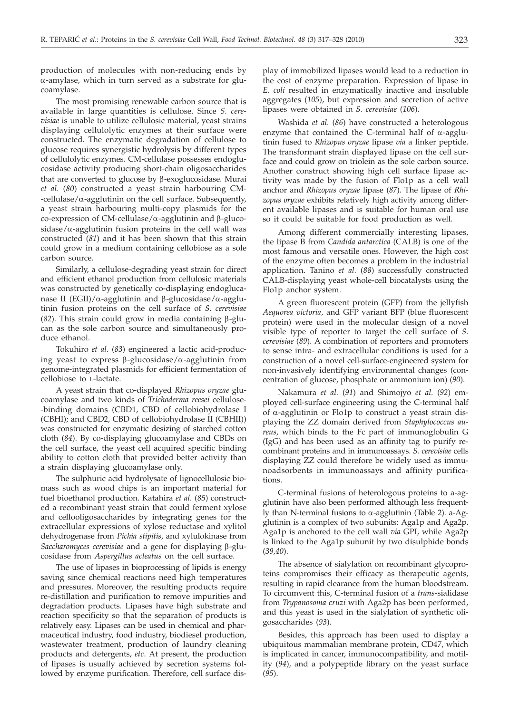production of molecules with non-reducing ends by  $\alpha$ -amylase, which in turn served as a substrate for glucoamylase.

The most promising renewable carbon source that is available in large quantities is cellulose. Since *S. cerevisiae* is unable to utilize cellulosic material, yeast strains displaying cellulolytic enzymes at their surface were constructed. The enzymatic degradation of cellulose to glucose requires synergistic hydrolysis by different types of cellulolytic enzymes. CM-cellulase possesses endoglucosidase activity producing short-chain oligosaccharides that are converted to glucose by  $\beta$ -exoglucosidase. Murai *et al.* (*80*) constructed a yeast strain harbouring CM-  $-e$ ellulase/ $\alpha$ -agglutinin on the cell surface. Subsequently, a yeast strain harbouring multi-copy plasmids for the co-expression of CM-cellulase/ $\alpha$ -agglutinin and  $\beta$ -glucosidase/ $\alpha$ -agglutinin fusion proteins in the cell wall was constructed (*81*) and it has been shown that this strain could grow in a medium containing cellobiose as a sole carbon source.

Similarly, a cellulose-degrading yeast strain for direct and efficient ethanol production from cellulosic materials was constructed by genetically co-displaying endoglucanase II (EGII)/ $\alpha$ -agglutinin and  $\beta$ -glucosidase/ $\alpha$ -agglutinin fusion proteins on the cell surface of *S. cerevisiae* ( $82$ ). This strain could grow in media containing  $\beta$ -glucan as the sole carbon source and simultaneously produce ethanol.

Tokuhiro *et al.* (*83*) engineered a lactic acid-producing yeast to express  $\beta$ -glucosidase/ $\alpha$ -agglutinin from genome-integrated plasmids for efficient fermentation of cellobiose to L-lactate.

A yeast strain that co-displayed *Rhizopus oryzae* glucoamylase and two kinds of *Trichoderma reesei* cellulose- -binding domains (CBD1, CBD of cellobiohydrolase I (CBHI); and CBD2, CBD of cellobiohydrolase II (CBHII)) was constructed for enzymatic desizing of starched cotton cloth (*84*). By co-displaying glucoamylase and CBDs on the cell surface, the yeast cell acquired specific binding ability to cotton cloth that provided better activity than a strain displaying glucoamylase only.

The sulphuric acid hydrolysate of lignocellulosic biomass such as wood chips is an important material for fuel bioethanol production. Katahira *et al.* (*85*) constructed a recombinant yeast strain that could ferment xylose and cellooligosaccharides by integrating genes for the extracellular expressions of xylose reductase and xylitol dehydrogenase from *Pichia stipitis*, and xylulokinase from *Saccharomyces cerevisiae* and a gene for displaying b-glucosidase from *Aspergillus acleatus* on the cell surface.

The use of lipases in bioprocessing of lipids is energy saving since chemical reactions need high temperatures and pressures. Moreover, the resulting products require re-distillation and purification to remove impurities and degradation products. Lipases have high substrate and reaction specificity so that the separation of products is relatively easy. Lipases can be used in chemical and pharmaceutical industry, food industry, biodiesel production, wastewater treatment, production of laundry cleaning products and detergents, *etc*. At present, the production of lipases is usually achieved by secretion systems followed by enzyme purification. Therefore, cell surface display of immobilized lipases would lead to a reduction in the cost of enzyme preparation. Expression of lipase in *E. coli* resulted in enzymatically inactive and insoluble aggregates (*105*), but expression and secretion of active lipases were obtained in *S. cerevisiae* (*106*).

Washida *et al.* (*86*) have constructed a heterologous enzyme that contained the C-terminal half of  $\alpha$ -agglutinin fused to *Rhizopus oryzae* lipase *via* a linker peptide. The transformant strain displayed lipase on the cell surface and could grow on triolein as the sole carbon source. Another construct showing high cell surface lipase activity was made by the fusion of Flo1p as a cell wall anchor and *Rhizopus oryzae* lipase (*87*). The lipase of *Rhizopus oryzae* exhibits relatively high activity among different available lipases and is suitable for human oral use so it could be suitable for food production as well.

Among different commercially interesting lipases, the lipase B from *Candida antarctica* (CALB) is one of the most famous and versatile ones. However, the high cost of the enzyme often becomes a problem in the industrial application. Tanino *et al.* (*88*) successfully constructed CALB-displaying yeast whole-cell biocatalysts using the Flo1p anchor system.

A green fluorescent protein (GFP) from the jellyfish *Aequorea victoria*, and GFP variant BFP (blue fluorescent protein) were used in the molecular design of a novel visible type of reporter to target the cell surface of *S. cerevisiae* (*89*). A combination of reporters and promoters to sense intra- and extracellular conditions is used for a construction of a novel cell-surface-engineered system for non-invasively identifying environmental changes (concentration of glucose, phosphate or ammonium ion) (*90*).

Nakamura *et al.* (*91*) and Shimojyo *et al.* (*92*) employed cell-surface engineering using the C-terminal half of  $\alpha$ -agglutinin or Flo1p to construct a yeast strain displaying the ZZ domain derived from *Staphylococcus aureus*, which binds to the Fc part of immunoglobulin G (IgG) and has been used as an affinity tag to purify recombinant proteins and in immunoassays. *S. cerevisiae* cells displaying ZZ could therefore be widely used as immunoadsorbents in immunoassays and affinity purifications.

C-terminal fusions of heterologous proteins to a-agglutinin have also been performed although less frequently than N-terminal fusions to  $\alpha$ -agglutinin (Table 2). a-Agglutinin is a complex of two subunits: Aga1p and Aga2p. Aga1p is anchored to the cell wall *via* GPI, while Aga2p is linked to the Aga1p subunit by two disulphide bonds (*39,40*).

The absence of sialylation on recombinant glycoproteins compromises their efficacy as therapeutic agents, resulting in rapid clearance from the human bloodstream. To circumvent this, C-terminal fusion of a *trans*-sialidase from *Trypanosoma cruzi* with Aga2p has been performed, and this yeast is used in the sialylation of synthetic oligosaccharides (*93*).

Besides, this approach has been used to display a ubiquitous mammalian membrane protein, CD47, which is implicated in cancer, immunocompatibility, and motility (*94*), and a polypeptide library on the yeast surface (*95*).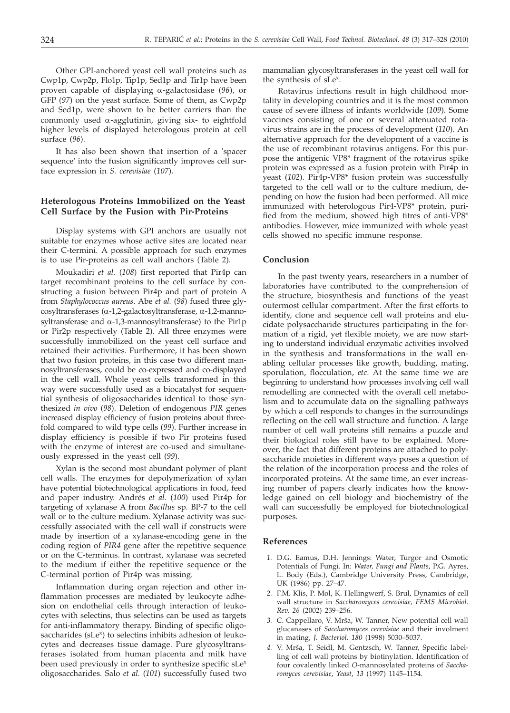Other GPI-anchored yeast cell wall proteins such as Cwp1p, Cwp2p, Flo1p, Tip1p, Sed1p and Tir1p have been proven capable of displaying a-galactosidase (*96*), or GFP (*97*) on the yeast surface. Some of them, as Cwp2p and Sed1p, were shown to be better carriers than the commonly used  $\alpha$ -agglutinin, giving six- to eightfold higher levels of displayed heterologous protein at cell surface (*96*).

It has also been shown that insertion of a 'spacer sequence' into the fusion significantly improves cell surface expression in *S. cerevisiae* (*107*).

# **Heterologous Proteins Immobilized on the Yeast Cell Surface by the Fusion with Pir-Proteins**

Display systems with GPI anchors are usually not suitable for enzymes whose active sites are located near their C-termini. A possible approach for such enzymes is to use Pir-proteins as cell wall anchors (Table 2).

Moukadiri *et al.* (*108*) first reported that Pir4p can target recombinant proteins to the cell surface by constructing a fusion between Pir4p and part of protein A from *Staphylococcus aureus*. Abe *et al.* (*98*) fused three glycosyltransferases (a-1,2-galactosyltransferase, a-1,2-mannosyltransferase and  $\alpha$ -1,3-mannosyltransferase) to the Pir1p or Pir2p respectively (Table 2). All three enzymes were successfully immobilized on the yeast cell surface and retained their activities. Furthermore, it has been shown that two fusion proteins, in this case two different mannosyltransferases, could be co-expressed and co-displayed in the cell wall. Whole yeast cells transformed in this way were successfully used as a biocatalyst for sequential synthesis of oligosaccharides identical to those synthesized *in vivo* (*98*). Deletion of endogenous *PIR* genes increased display efficiency of fusion proteins about threefold compared to wild type cells (*99*). Further increase in display efficiency is possible if two Pir proteins fused with the enzyme of interest are co-used and simultaneously expressed in the yeast cell (*99*).

Xylan is the second most abundant polymer of plant cell walls. The enzymes for depolymerization of xylan have potential biotechnological applications in food, feed and paper industry. Andrés *et al.* (*100*) used Pir4p for targeting of xylanase A from *Bacillus* sp*.* BP-7 to the cell wall or to the culture medium. Xylanase activity was successfully associated with the cell wall if constructs were made by insertion of a xylanase-encoding gene in the coding region of *PIR4* gene after the repetitive sequence or on the C-terminus. In contrast, xylanase was secreted to the medium if either the repetitive sequence or the C-terminal portion of Pir4p was missing.

Inflammation during organ rejection and other inflammation processes are mediated by leukocyte adhesion on endothelial cells through interaction of leukocytes with selectins, thus selectins can be used as targets for anti-inflammatory therapy. Binding of specific oligosaccharides (sLe<sup>x</sup>) to selectins inhibits adhesion of leukocytes and decreases tissue damage. Pure glycosyltransferases isolated from human placenta and milk have been used previously in order to synthesize specific sLe<sup>x</sup> oligosaccharides. Salo *et al.* (*101*) successfully fused two

mammalian glycosyltransferases in the yeast cell wall for the synthesis of sLe<sup>x</sup>.

Rotavirus infections result in high childhood mortality in developing countries and it is the most common cause of severe illness of infants worldwide (*109*). Some vaccines consisting of one or several attenuated rotavirus strains are in the process of development (*110*). An alternative approach for the development of a vaccine is the use of recombinant rotavirus antigens. For this purpose the antigenic VP8\* fragment of the rotavirus spike protein was expressed as a fusion protein with Pir4p in yeast (*102*). Pir4p-VP8\* fusion protein was successfully targeted to the cell wall or to the culture medium, depending on how the fusion had been performed. All mice immunized with heterologous Pir4-VP8\* protein, purified from the medium, showed high titres of anti-VP8\* antibodies. However, mice immunized with whole yeast cells showed no specific immune response.

## **Conclusion**

In the past twenty years, researchers in a number of laboratories have contributed to the comprehension of the structure, biosynthesis and functions of the yeast outermost cellular compartment. After the first efforts to identify, clone and sequence cell wall proteins and elucidate polysaccharide structures participating in the formation of a rigid, yet flexible moiety, we are now starting to understand individual enzymatic activities involved in the synthesis and transformations in the wall enabling cellular processes like growth, budding, mating, sporulation, flocculation, *etc*. At the same time we are beginning to understand how processes involving cell wall remodelling are connected with the overall cell metabolism and to accumulate data on the signalling pathways by which a cell responds to changes in the surroundings reflecting on the cell wall structure and function. A large number of cell wall proteins still remains a puzzle and their biological roles still have to be explained. Moreover, the fact that different proteins are attached to polysaccharide moieties in different ways poses a question of the relation of the incorporation process and the roles of incorporated proteins. At the same time, an ever increasing number of papers clearly indicates how the knowledge gained on cell biology and biochemistry of the wall can successfully be employed for biotechnological purposes.

## **References**

- *1.* D.G. Eamus, D.H. Jennings: Water, Turgor and Osmotic Potentials of Fungi. In: *Water, Fungi and Plants*, P.G. Ayres, L. Body (Eds.), Cambridge University Press, Cambridge, UK (1986) pp. 27–47.
- *2.* F.M. Klis, P. Mol, K. Hellingwerf, S. Brul, Dynamics of cell wall structure in *Saccharomyces cerevisiae, FEMS Microbiol. Rev*. *26* (2002) 239–256.
- 3. C. Cappellaro, V. Mrša, W. Tanner, New potential cell wall glucanases of *Saccharomyces cerevisiae* and their involment in mating, *J. Bacteriol. 180* (1998) 5030–5037.
- 4. V. Mrša, T. Seidl, M. Gentzsch, W. Tanner, Specific labelling of cell wall proteins by biotinylation. Identification of four covalently linked *O*-mannosylated proteins of *Saccharomyces cerevisiae*, *Yeast*, *13* (1997) 1145–1154.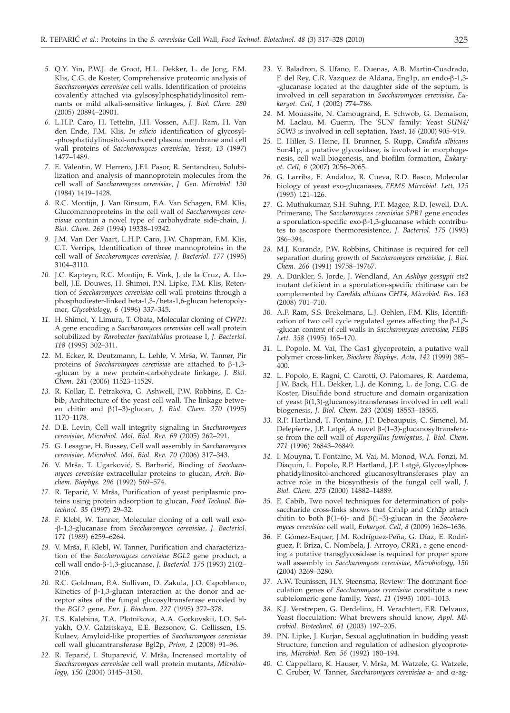- *5.* Q.Y. Yin, P.W.J. de Groot, H.L. Dekker, L. de Jong, F.M. Klis, C.G. de Koster, Comprehensive proteomic analysis of *Saccharomyces cerevisiae* cell walls. Identification of proteins covalently attached via gylsosylphosphatidylinositol remnants or mild alkali-sensitive linkages, *J. Biol. Chem. 280* (2005) 20894–20901.
- *6.* L.H.P. Caro, H. Tettelin, J.H. Vossen, A.F.J. Ram, H. Van den Ende, F.M. Klis, *In silicio* identification of glycosyl- -phosphatidylinositol-anchored plasma membrane and cell wall proteins of *Saccharomyces cerevisiae*, *Yeast, 13* (1997) 1477–1489.
- *7.* E. Valentin, W. Herrero, J.F.I. Pasor, R. Sentandreu, Solubilization and analysis of mannoprotein molecules from the cell wall of *Saccharomyces cerevisiae*, *J. Gen. Microbiol. 130* (1984) 1419–1428.
- *8.* R.C. Montijn, J. Van Rinsum, F.A. Van Schagen, F.M. Klis, Glucomannoproteins in the cell wall of *Saccharomyces cerevisiae* contain a novel type of carbohydrate side-chain, *J. Biol. Chem*. *269* (1994) 19338–19342.
- *9.* J.M. Van Der Vaart, L.H.P. Caro, J.W. Chapman, F.M. Klis, C.T. Verrips, Identification of three mannoproteins in the cell wall of *Saccharomyces cerevisiae, J. Bacteriol*. *177* (1995) 3104–3110.
- *10.* J.C. Kapteyn, R.C. Montijn, E. Vink, J. de la Cruz, A. Llobell, J.E. Douwes, H. Shimoi, P.N. Lipke, F.M. Klis, Retention of *Saccharomyces cerevisiae* cell wall proteins through a phosphodiester-linked beta-1,3-/beta-1,6-glucan heteropolymer, *Glycobiology*, *6* (1996) 337–345.
- *11.* H. Shimoi, Y. Limura, T. Obata, Molecular cloning of *CWP1*: A gene encoding a *Saccharomyces cerevisiae* cell wall protein solubilized by *Rarobacter faecitabidus* protease I, *J. Bacteriol. 118* (1995) 302–311.
- 12. M. Ecker, R. Deutzmann, L. Lehle, V. Mrša, W. Tanner, Pir proteins of *Saccharomyces cerevisiae* are attached to β-1,3--glucan by a new protein-carbohydrate linkage, *J. Biol. Chem. 281* (2006) 11523–11529.
- *13.* R. Kollar, E. Petrakova, G. Ashwell, P.W. Robbins, E. Cabib, Architecture of the yeast cell wall. The linkage between chitin and b(1–3)-glucan, *J. Biol. Chem*. *<sup>270</sup>* (1995) 1170–1178.
- *14.* D.E. Levin, Cell wall integrity signaling in *Saccharomyces cerevisiae*, *Microbiol. Mol. Biol. Rev. 69* (2005) 262–291.
- *15.* G. Lesagne, H. Bussey, Cell wall assembly in *Saccharomyces cerevisiae, Microbiol. Mol. Biol. Rev. 70* (2006) 317–343.
- 16. V. Mrša, T. Ugarković, S. Barbarić, Binding of *Saccharomyces cerevisiae* extracellular proteins to glucan, *Arch. Biochem. Biophys. 296* (1992) 569–574.
- 17. R. Teparić, V. Mrša, Purification of yeast periplasmic proteins using protein adsorption to glucan*, Food Technol. Biotechnol*. *35* (1997) 29–32.
- *18.* F. Klebl, W. Tanner, Molecular cloning of a cell wall exo- -b-1,3-glucanase from *Saccharomyces cerevisiae, J. Bacteriol. 171* (1989) 6259–6264.
- 19. V. Mrša, F. Klebl, W. Tanner, Purification and characterization of the *Saccharomyces cerevisiae BGL2* gene product, a cell wall endo-b-1,3-glucanase, *J. Bacteriol. 175* (1993) 2102– 2106.
- *20.* R.C. Goldman, P.A. Sullivan, D. Zakula, J.O. Capoblanco, Kinetics of  $\beta$ -1,3-glucan interaction at the donor and acceptor sites of the fungal glucosyltransferase encoded by the *BGL2* gene, *Eur. J. Biochem. 227* (1995) 372–378.
- *21.* T.S. Kalebina, T.A. Plotnikova, A.A. Gorkovskii, I.O. Selyakh, O.V. Galzitskaya, E.E. Bezsonov, G. Gellissen, I.S. Kulaev, Amyloid-like properties of *Saccharomyces cerevisiae* cell wall glucantransferase Bgl2p, *Prion, 2* (2008) 91–96.
- 22. R. Teparić, I. Stuparević, V. Mrša, Increased mortality of *Saccharomyces cerevisiae* cell wall protein mutants, *Microbiology, 150* (2004) 3145–3150.
- *23.* V. Baladron, S. Ufano, E. Duenas, A.B. Martin-Cuadrado, F. del Rey, C.R. Vazquez de Aldana, Eng1p, an endo-b-1,3- -glucanase located at the daughter side of the septum, is involved in cell separation in *Saccharomyces cerevisiae, Eukaryot. Cell, 1* (2002) 774–786.
- *24.* M. Mouassite, N. Camougrand, E. Schwob, G. Demaison, M. Laclau, M. Guerin, The 'SUN' family: Yeast *SUN4/ SCW3* is involved in cell septation, *Yeast*, *16* (2000) 905–919.
- *25.* E. Hiller, S. Heine, H. Brunner, S. Rupp, *Candida albicans* Sun41p, a putative glycosidase, is involved in morphogenesis, cell wall biogenesis, and biofilm formation, *Eukaryot. Cell, 6* (2007) 2056–2065.
- *26.* G. Larriba, E. Andaluz, R. Cueva, R.D. Basco, Molecular biology of yeast exo-glucanases, *FEMS Microbiol. Lett*. *125* (1995) 121–126.
- *27.* G. Muthukumar, S.H. Suhng, P.T. Magee, R.D. Jewell, D.A. Primerano, The *Saccharomyces cerevisiae SPR1* gene encodes a sporulation-specific exo-b-1,3-glucanase which contributes to ascospore thermoresistence, *J. Bacteriol. 175* (1993) 386–394.
- *28.* M.J. Kuranda, P.W. Robbins, Chitinase is required for cell separation during growth of *Saccharomyces cerevisiae, J. Biol. Chem*. *266* (1991) 19758–19767.
- *29.* A. Dünkler, S. Jorde, J. Wendland, An *Ashbya gossypii cts2* mutant deficient in a sporulation-specific chitinase can be complemented by *Candida albicans CHT4*, *Microbiol. Res*. *163* (2008) 701–710.
- *30.* A.F. Ram, S.S. Brekelmans, L.J. Oehlen, F.M. Klis, Identification of two cell cycle regulated genes affecting the  $\beta$ -1,3--glucan content of cell walls in *Saccharomyces cerevisiae, FEBS Lett. 358* (1995) 165–170.
- *31.* L. Popolo, M. Vai, The Gas1 glycoprotein, a putative wall polymer cross-linker, *Biochem Biophys. Acta*, *142* (1999) 385– 400.
- *32.* L. Popolo, E. Ragni, C. Carotti, O. Palomares, R. Aardema, J.W. Back, H.L. Dekker, L.J. de Koning, L. de Jong, C.G. de Koster, Disulfide bond structure and domain organization of yeast  $\beta(1,3)$ -glucanosyltransferases involved in cell wall biogenesis, *J. Biol. Chem. 283* (2008) 18553–18565.
- *33.* R.P. Hartland, T. Fontaine, J.P. Debeaupuis, C. Simenel, M. Delepierre, J.P. Latgé, A novel  $\beta$ -(1–3)-glucanosyltransferase from the cell wall of *Aspergillus fumigatus, J. Biol. Chem. 271* (1996) 26843–26849.
- *34.* I. Mouyna, T. Fontaine, M. Vai, M. Monod, W.A. Fonzi, M. Diaquin, L. Popolo, R.P. Hartland, J.P. Latgé, Glycosylphosphatidylinositol-anchored glucanosyltransferases play an active role in the biosynthesis of the fungal cell wall, *J. Biol. Chem. 275* (2000) 14882–14889.
- *35.* E. Cabib, Two novel techniques for determination of polysaccharide cross-links shows that Crh1p and Crh2p attach chitin to both  $\beta(1-6)$ - and  $\beta(1-3)$ -glucan in the *Saccharomyces cerevisiae* cell wall, *Eukaryot. Cell, 8* (2009) 1626–1636.
- *36.* F. Gómez-Esquer, J.M. Rodríguez-Peña, G. Díaz, E. Rodríguez, P. Briza, C. Nombela, J. Arroyo, *CRR1*, a gene encoding a putative transglycosidase is required for proper spore wall assembly in *Saccharomyces cerevisiae, Microbiology, 150* (2004) 3269–3280.
- *37.* A.W. Teunissen, H.Y. Steensma, Review: The dominant flocculation genes of *Saccharomyces cerevisiae* constitute a new subtelomeric gene family, *Yeast, 11* (1995) 1001–1013.
- *38.* K.J. Verstrepen, G. Derdelinx, H. Verachtert, F.R. Delvaux, Yeast flocculation: What brewers should know, *Appl. Microbiol. Biotechnol. 61* (2003) 197–205.
- *39.* P.N. Lipke, J. Kurjan, Sexual agglutination in budding yeast: Structure, function and regulation of adhesion glycoproteins, *Microbiol. Rev. 56* (1992) 180–194.
- 40. C. Cappellaro, K. Hauser, V. Mrša, M. Watzele, G. Watzele, C. Gruber, W. Tanner, *Saccharomyces cerevisiae* a- and a-ag-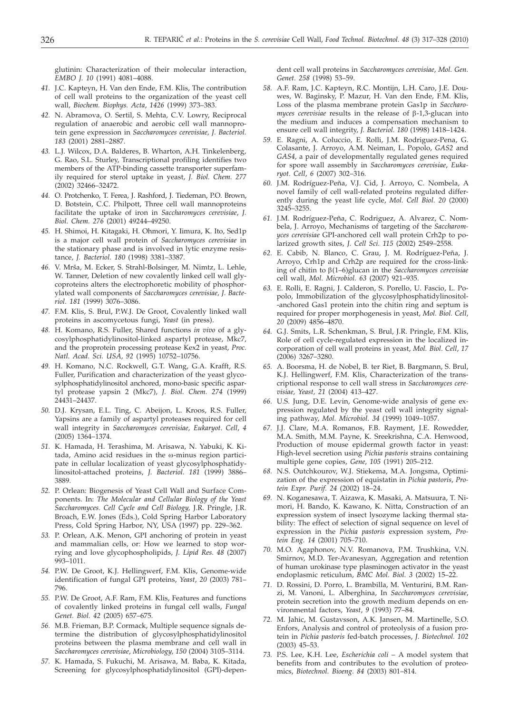glutinin: Characterization of their molecular interaction, *EMBO J. 10* (1991) 4081–4088.

- *41.* J.C. Kapteyn, H. Van den Ende, F.M. Klis, The contribution of cell wall proteins to the organization of the yeast cell wall, *Biochem. Biophys. Acta*, *1426* (1999) 373–383.
- *42.* N. Abramova, O. Sertil, S. Mehta, C.V. Lowry, Reciprocal regulation of anaerobic and aerobic cell wall mannoprotein gene expression in *Saccharomyces cerevisiae, J. Bacteriol. 183* (2001) 2881–2887.
- *43.* L.J. Wilcox, D.A. Balderes, B. Wharton, A.H. Tinkelenberg, G. Rao, S.L. Sturley, Transcriptional profiling identifies two members of the ATP-binding cassette transporter superfamily required for sterol uptake in yeast, *J. Biol. Chem. 277* (2002) 32466–32472.
- *44.* O. Protchenko, T. Ferea, J. Rashford, J. Tiedeman, P.O. Brown, D. Botstein, C.C. Philpott, Three cell wall mannoproteins facilitate the uptake of iron in *Saccharomyces cerevisiae*, *J. Biol. Chem. 276* (2001) 49244–49250.
- *45.* H. Shimoi, H. Kitagaki, H. Ohmori, Y. Iimura, K. Ito, Sed1p is a major cell wall protein of *Saccharomyces cerevisiae* in the stationary phase and is involved in lytic enzyme resistance*, J. Bacteriol. 180* (1998) 3381–3387.
- 46. V. Mrša, M. Ecker, S. Strahl-Bolsinger, M. Nimtz, L. Lehle, W. Tanner, Deletion of new covalently linked cell wall glycoproteins alters the electrophoretic mobility of phosphorylated wall components of *Saccharomyces cerevisiae, J. Bacteriol. 181* (1999) 3076–3086.
- *47.* F.M. Klis, S. Brul, P.W.J. De Groot, Covalently linked wall proteins in ascomycetous fungi, *Yeast* (in press).
- *48.* H. Komano, R.S. Fuller, Shared functions *in vivo* of a glycosylphosphatidylinositol-linked aspartyl protease, Mkc7, and the proprotein processing protease Kex2 in yeast, *Proc. Natl. Acad. Sci. USA, 92* (1995) 10752–10756.
- *49.* H. Komano, N.C. Rockwell, G.T. Wang, G.A. Krafft, R.S. Fuller, Purification and characterization of the yeast glycosylphosphatidylinositol anchored, mono-basic specific aspartyl protease yapsin 2 (Mkc7), *J. Biol. Chem. 274* (1999) 24431–24437.
- *50.* D.J. Krysan, E.L. Ting, C. Abeijon, L. Kroos, R.S. Fuller, Yapsins are a family of aspartyl proteases required for cell wall integrity in *Saccharomyces cerevisiae, Eukaryot. Cell*, *4* (2005) 1364–1374.
- *51.* K. Hamada, H. Terashima, M. Arisawa, N. Yabuki, K. Kitada, Amino acid residues in the  $\omega$ -minus region participate in cellular localization of yeast glycosylphosphatidylinositol-attached proteins, *J. Bacteriol. 181* (1999) 3886– 3889.
- *52.* P. Orlean: Biogenesis of Yeast Cell Wall and Surface Components. In: *The Molecular and Cellular Biology of the Yeast Saccharomyces. Cell Cycle and Cell Biology,* J.R. Pringle, J.R. Broach, E.W. Jones (Eds.), Cold Spring Harbor Laboratory Press, Cold Spring Harbor, NY, USA (1997) pp. 229–362.
- *53.* P. Orlean, A.K. Menon, GPI anchoring of protein in yeast and mammalian cells, or: How we learned to stop worrying and love glycophospholipids, *J. Lipid Res. 48* (2007) 993–1011.
- *54.* P.W. De Groot, K.J. Hellingwerf, F.M. Klis, Genome-wide identification of fungal GPI proteins, *Yeast*, *20* (2003) 781– 796.
- *55.* P.W. De Groot, A.F. Ram, F.M. Klis, Features and functions of covalently linked proteins in fungal cell walls, *Fungal Genet. Biol. 42* (2005) 657–675.
- *56.* M.B. Frieman, B.P. Cormack, Multiple sequence signals determine the distribution of glycosylphosphatidylinositol proteins between the plasma membrane and cell wall in *Saccharomyces cerevisiae*, *Microbiology, 150* (2004) 3105–3114.
- *57.* K. Hamada, S. Fukuchi, M. Arisawa, M. Baba, K. Kitada, Screening for glycosylphosphatidylinositol (GPI)-depen-

dent cell wall proteins in *Saccharomyces cerevisiae, Mol. Gen. Genet. 258* (1998) 53–59.

- *58.* A.F. Ram, J.C. Kapteyn, R.C. Montijn, L.H. Caro, J.E. Douwes, W. Baginsky, P. Mazur, H. Van den Ende, F.M. Klis, Loss of the plasma membrane protein Gas1p in *Saccharo* $myces$  *cerevisiae* results in the release of  $\beta$ -1,3-glucan into the medium and induces a compensation mechanism to ensure cell wall integrity, *J. Bacteriol. 180* (1998) 1418–1424.
- *59.* E. Ragni, A. Coluccio, E. Rolli, J.M. Rodriguez-Pena, G. Colasante, J. Arroyo, A.M. Neiman, L. Popolo, *GAS2* and *GAS4*, a pair of developmentally regulated genes required for spore wall assembly in *Saccharomyces cerevisiae*, *Eukaryot. Cell*, *6* (2007) 302–316.
- *60.* J.M. Rodríguez-Peña, V.J. Cid, J. Arroyo, C. Nombela, A novel family of cell wall-related proteins regulated differently during the yeast life cycle, *Mol. Cell Biol. 20* (2000) 3245–3255.
- *61.* J.M. Rodríguez-Peña, C. Rodriguez, A. Alvarez, C. Nombela, J. Arroyo, Mechanisms of targeting of the *Saccharomyces cerevisiae* GPI-anchored cell wall protein Crh2p to polarized growth sites, *J. Cell Sci. 115* (2002) 2549–2558.
- *62.* E. Cabib, N. Blanco, C. Grau, J. M. Rodríguez-Peña, J. Arroyo, Crh1p and Crh2p are required for the cross-linking of chitin to b(1–6)glucan in the *Saccharomyces cerevisiae* cell wall, *Mol. Microbiol. 63* (2007) 921–935.
- *63.* E. Rolli, E. Ragni, J. Calderon, S. Porello, U. Fascio, L. Popolo, Immobilization of the glycosylphosphatidylinositol- -anchored Gas1 protein into the chitin ring and septum is required for proper morphogenesis in yeast, *Mol. Biol. Cell, 20* (2009) 4856–4870.
- *64.* G.J. Smits, L.R. Schenkman, S. Brul, J.R. Pringle, F.M. Klis, Role of cell cycle-regulated expression in the localized incorporation of cell wall proteins in yeast, *Mol. Biol. Cell*, *17* (2006) 3267–3280.
- *65.* A. Boorsma, H. de Nobel, B. ter Riet, B. Bargmann, S. Brul, K.J. Hellingwerf, F.M. Klis, Characterization of the transcriptional response to cell wall stress in *Saccharomyces cerevisiae, Yeast, 21* (2004) 413–427.
- *66.* U.S. Jung, D.E. Levin, Genome-wide analysis of gene expression regulated by the yeast cell wall integrity signaling pathway, *Mol. Microbiol. 34* (1999) 1049–1057.
- *67.* J.J. Clare, M.A. Romanos, F.B. Rayment, J.E. Rowedder, M.A. Smith, M.M. Payne, K. Sreekrishna, C.A. Henwood, Production of mouse epidermal growth factor in yeast: High-level secretion using *Pichia pastoris* strains containing multiple gene copies, *Gene*, *105* (1991) 205–212.
- *68.* N.S. Outchkourov, W.J. Stiekema, M.A. Jongsma, Optimization of the expression of equistatin in *Pichia pastoris*, *Protein Expr. Purif. 24* (2002) 18–24.
- *69.* N. Koganesawa, T. Aizawa, K. Masaki, A. Matsuura, T. Nimori, H. Bando, K. Kawano, K. Nitta, Construction of an expression system of insect lysozyme lacking thermal stability: The effect of selection of signal sequence on level of expression in the *Pichia pastoris* expression system, *Protein Eng. 14* (2001) 705–710.
- *70.* M.O. Agaphonov, N.V. Romanova, P.M. Trushkina, V.N. Smirnov, M.D. Ter-Avanesyan, Aggregation and retention of human urokinase type plasminogen activator in the yeast endoplasmic reticulum, *BMC Mol. Biol. 3* (2002) 15–22.
- *71.* D. Rossini, D. Porro, L. Brambilla, M. Venturini, B.M. Ranzi, M. Vanoni, L. Alberghina, In *Saccharomyces cerevisiae*, protein secretion into the growth medium depends on environmental factors, *Yeast*, *9* (1993) 77–84.
- *72.* M. Jahic, M. Gustavsson, A.K. Jansen, M. Martinelle, S.O. Enfors, Analysis and control of proteolysis of a fusion protein in *Pichia pastoris* fed-batch processes, *J. Biotechnol. 102* (2003) 45–53.
- *73.* P.S. Lee, K.H. Lee, *Escherichia coli* A model system that benefits from and contributes to the evolution of proteomics, *Biotechnol. Bioeng. 84* (2003) 801–814.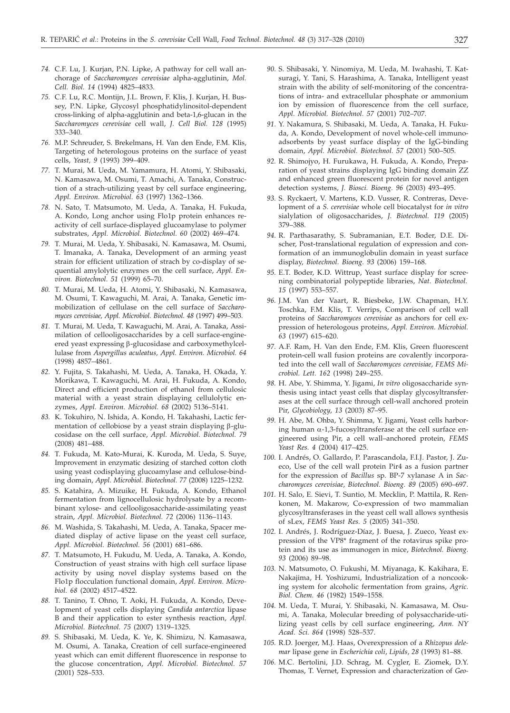- *74.* C.F. Lu, J. Kurjan, P.N. Lipke, A pathway for cell wall anchorage of *Saccharomyces cerevisiae* alpha-agglutinin, *Mol. Cell. Biol. 14* (1994) 4825–4833.
- *75.* C.F. Lu, R.C. Montijn, J.L. Brown, F. Klis, J. Kurjan, H. Bussey, P.N. Lipke, Glycosyl phosphatidylinositol-dependent cross-linking of alpha-agglutinin and beta-1,6-glucan in the *Saccharomyces cerevisiae* cell wall, *J. Cell Biol. 128* (1995) 333–340.
- *76.* M.P. Schreuder, S. Brekelmans, H. Van den Ende, F.M. Klis, Targeting of heterologous proteins on the surface of yeast cells, *Yeast, 9* (1993) 399–409.
- *77.* T. Murai, M. Ueda, M. Yamamura, H. Atomi, Y. Shibasaki, N. Kamasawa, M. Osumi, T. Amachi, A. Tanaka, Construction of a strach-utilizing yeast by cell surface engineering, *Appl. Environ. Microbiol. 63* (1997) 1362–1366.
- *78.* N. Sato, T. Matsumoto, M. Ueda, A. Tanaka, H. Fukuda, A. Kondo, Long anchor using Flo1p protein enhances reactivity of cell surface-displayed glucoamylase to polymer substrates, *Appl. Microbiol. Biotechnol. 60* (2002) 469–474.
- *79.* T. Murai, M. Ueda, Y. Shibasaki, N. Kamasawa, M. Osumi, T. Imanaka, A. Tanaka, Development of an arming yeast strain for efficient utilization of strach by co-display of sequential amylolytic enzymes on the cell surface, *Appl. Environ. Biotechnol. 51* (1999) 65–70.
- *80.* T. Murai, M. Ueda, H. Atomi, Y. Shibasaki, N. Kamasawa, M. Osumi, T. Kawaguchi, M. Arai, A. Tanaka, Genetic immobilization of cellulase on the cell surface of *Saccharomyces cerevisiae, Appl. Microbiol. Biotechnol. 48* (1997) 499–503.
- *81.* T. Murai, M. Ueda, T. Kawaguchi, M. Arai, A. Tanaka, Assimilation of cellooligosaccharides by a cell surface-engineered yeast expressing  $\beta$ -glucosidase and carboxymethylcellulase from *Aspergillus aculeatus, Appl. Environ. Microbiol. 64* (1998) 4857–4861.
- *82.* Y. Fujita, S. Takahashi, M. Ueda, A. Tanaka, H. Okada, Y. Morikawa, T. Kawaguchi, M. Arai, H. Fukuda, A. Kondo, Direct and efficient production of ethanol from cellulosic material with a yeast strain displaying cellulolytic enzymes, *Appl. Environ. Microbiol. 68* (2002) 5136–5141.
- *83.* K. Tokuhiro, N. Ishida, A. Kondo, H. Takahashi, Lactic fermentation of cellobiose by a yeast strain displaying  $\beta$ -glucosidase on the cell surface, *Appl. Microbiol. Biotechnol. 79* (2008) 481–488.
- *84.* T. Fukuda, M. Kato-Murai, K. Kuroda, M. Ueda, S. Suye, Improvement in enzymatic desizing of starched cotton cloth using yeast codisplaying glucoamylase and cellulose-binding domain, *Appl. Microbiol. Biotechnol. 77* (2008) 1225–1232.
- *85.* S. Katahira, A. Mizuike, H. Fukuda, A. Kondo, Ethanol fermentation from lignocellulosic hydrolysate by a recombinant xylose- and cellooligosaccharide-assimilating yeast strain, *Appl. Microbiol. Biotechnol. 72* (2006) 1136–1143.
- *86.* M. Washida, S. Takahashi, M. Ueda, A. Tanaka, Spacer mediated display of active lipase on the yeast cell surface, *Appl. Microbiol. Biotechnol. 56* (2001) 681–686.
- *87.* T. Matsumoto, H. Fukudu, M. Ueda, A. Tanaka, A. Kondo, Construction of yeast strains with high cell surface lipase activity by using novel display systems based on the Flo1p flocculation functional domain, *Appl. Environ. Microbiol. 68* (2002) 4517–4522.
- *88.* T. Tanino, T. Ohno, T. Aoki, H. Fukuda, A. Kondo, Development of yeast cells displaying *Candida antarctica* lipase B and their application to ester synthesis reaction, *Appl. Microbiol. Biotechnol. 75* (2007) 1319–1325.
- *89.* S. Shibasaki, M. Ueda, K. Ye, K. Shimizu, N. Kamasawa, M. Osumi, A. Tanaka, Creation of cell surface-engineered yeast which can emit different fluorescence in response to the glucose concentration, *Appl. Microbiol. Biotechnol. 57* (2001) 528–533.
- *90.* S. Shibasaki, Y. Ninomiya, M. Ueda, M. Iwahashi, T. Katsuragi, Y. Tani, S. Harashima, A. Tanaka, Intelligent yeast strain with the ability of self-monitoring of the concentrations of intra- and extracellular phosphate or ammonium ion by emission of fluorescence from the cell surface, *Appl. Microbiol. Biotechnol. 57* (2001) 702–707.
- *91.* Y. Nakamura, S. Shibasaki, M. Ueda, A. Tanaka, H. Fukuda, A. Kondo, Development of novel whole-cell immunoadsorbents by yeast surface display of the IgG-binding domain, *Appl. Microbiol. Biotechnol. 57* (2001) 500–505.
- *92.* R. Shimojyo, H. Furukawa, H. Fukuda, A. Kondo, Preparation of yeast strains displaying IgG binding domain ZZ and enhanced green fluorescent protein for novel antigen detection systems, *J. Biosci. Bioeng. 96* (2003) 493–495.
- *93.* S. Ryckaert, V. Martens, K.D. Vusser, R. Contreras, Development of a *S. cerevisiae* whole cell biocatalyst for *in vitro* sialylation of oligosaccharides, *J. Biotechnol. 119* (2005) 379–388.
- *94.* R. Parthasarathy, S. Subramanian, E.T. Boder, D.E. Discher, Post-translational regulation of expression and conformation of an immunoglobulin domain in yeast surface display, *Biotechnol. Bioeng. 93* (2006) 159–168.
- *95.* E.T. Boder, K.D. Wittrup, Yeast surface display for screening combinatorial polypeptide libraries, *Nat. Biotechnol. 15* (1997) 553–557.
- *96.* J.M. Van der Vaart, R. Biesbeke, J.W. Chapman, H.Y. Toschka, F.M. Klis, T. Verrips, Comparison of cell wall proteins of *Saccharomyces cerevisiae* as anchors for cell expression of heterologous proteins, *Appl. Environ. Microbiol. 63* (1997) 615–620.
- *97.* A.F. Ram, H. Van den Ende, F.M. Klis, Green fluorescent protein-cell wall fusion proteins are covalently incorporated into the cell wall of *Saccharomyces cerevisiae, FEMS Microbiol. Lett. 162* (1998) 249–255.
- *98.* H. Abe, Y. Shimma, Y. Jigami, *In vitro* oligosaccharide synthesis using intact yeast cells that display glycosyltransferases at the cell surface through cell-wall anchored protein Pir, *Glycobiology*, *13* (2003) 87–95.
- *99.* H. Abe, M. Ohba, Y. Shimma, Y. Jigami, Yeast cells harboring human  $\alpha$ -1,3-fucosyltransferase at the cell surface engineered using Pir, a cell wall–anchored protein, *FEMS Yeast Res. 4* (2004) 417–425.
- *100.* I. Andrés, O. Gallardo, P. Parascandola, F.I.J. Pastor, J. Zueco, Use of the cell wall protein Pir4 as a fusion partner for the expression of *Bacillus* sp*.* BP-7 xylanase A in *Saccharomyces cerevisiae, Biotechnol. Bioeng. 89* (2005) 690–697.
- *101.* H. Salo, E. Sievi, T. Suntio, M. Mecklin, P. Mattila, R. Renkonen, M. Makarow, Co-expression of two mammalian glycosyltransferases in the yeast cell wall allows synthesis of sLex, *FEMS Yeast Res. 5* (2005) 341–350.
- *102.* I. Andrés, J. Rodríguez-Díaz, J. Buesa, J. Zueco, Yeast expression of the VP8\* fragment of the rotavirus spike protein and its use as immunogen in mice, *Biotechnol. Bioeng. 93* (2006) 89–98.
- *103.* N. Matsumoto, O. Fukushi, M. Miyanaga, K. Kakihara, E. Nakajima, H. Yoshizumi, Industrialization of a noncooking system for alcoholic fermentation from grains, *Agric. Biol. Chem. 46* (1982) 1549–1558.
- *104.* M. Ueda, T. Murai, Y. Shibasaki, N. Kamasawa, M. Osumi, A. Tanaka, Molecular breeding of polysaccharide-utilizing yeast cells by cell surface engineering, *Ann. NY Acad. Sci. 864* (1998) 528–537.
- *105.* R.D. Joerger, M.J. Haas, Overexpression of a *Rhizopus delemar* lipase gene in *Escherichia coli*, *Lipids, 28* (1993) 81–88.
- *106.* M.C. Bertolini, J.D. Schrag, M. Cygler, E. Ziomek, D.Y. Thomas, T. Vernet, Expression and characterization of *Geo-*